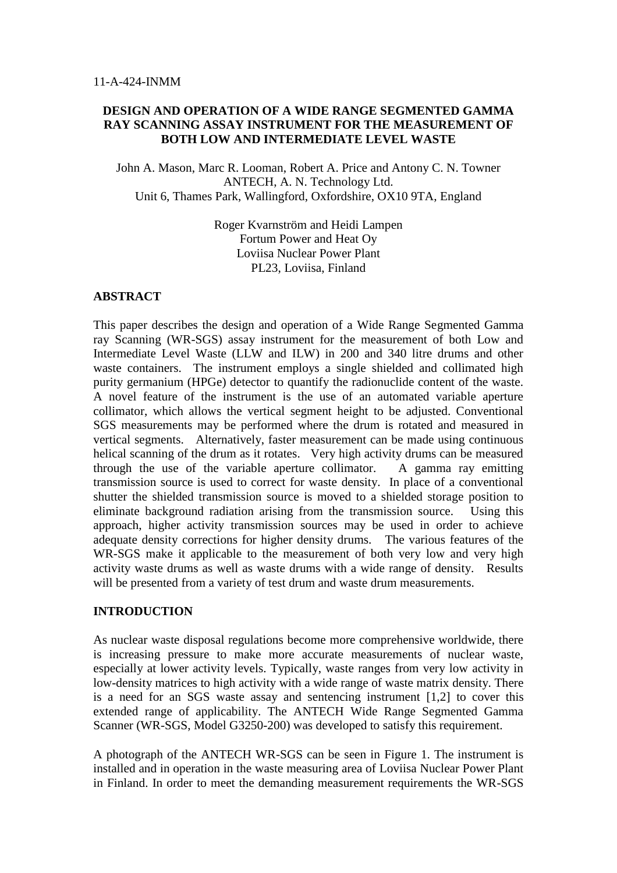# **DESIGN AND OPERATION OF A WIDE RANGE SEGMENTED GAMMA RAY SCANNING ASSAY INSTRUMENT FOR THE MEASUREMENT OF BOTH LOW AND INTERMEDIATE LEVEL WASTE**

John A. Mason, Marc R. Looman, Robert A. Price and Antony C. N. Towner ANTECH, A. N. Technology Ltd. Unit 6, Thames Park, Wallingford, Oxfordshire, OX10 9TA, England

> Roger Kvarnström and Heidi Lampen Fortum Power and Heat Oy Loviisa Nuclear Power Plant PL23, Loviisa, Finland

# **ABSTRACT**

This paper describes the design and operation of a Wide Range Segmented Gamma ray Scanning (WR-SGS) assay instrument for the measurement of both Low and Intermediate Level Waste (LLW and ILW) in 200 and 340 litre drums and other waste containers. The instrument employs a single shielded and collimated high purity germanium (HPGe) detector to quantify the radionuclide content of the waste. A novel feature of the instrument is the use of an automated variable aperture collimator, which allows the vertical segment height to be adjusted. Conventional SGS measurements may be performed where the drum is rotated and measured in vertical segments. Alternatively, faster measurement can be made using continuous helical scanning of the drum as it rotates. Very high activity drums can be measured through the use of the variable aperture collimator. A gamma ray emitting transmission source is used to correct for waste density. In place of a conventional shutter the shielded transmission source is moved to a shielded storage position to eliminate background radiation arising from the transmission source. Using this approach, higher activity transmission sources may be used in order to achieve adequate density corrections for higher density drums. The various features of the WR-SGS make it applicable to the measurement of both very low and very high activity waste drums as well as waste drums with a wide range of density. Results will be presented from a variety of test drum and waste drum measurements.

# **INTRODUCTION**

As nuclear waste disposal regulations become more comprehensive worldwide, there is increasing pressure to make more accurate measurements of nuclear waste, especially at lower activity levels. Typically, waste ranges from very low activity in low-density matrices to high activity with a wide range of waste matrix density. There is a need for an SGS waste assay and sentencing instrument [1,2] to cover this extended range of applicability. The ANTECH Wide Range Segmented Gamma Scanner (WR-SGS, Model G3250-200) was developed to satisfy this requirement.

A photograph of the ANTECH WR-SGS can be seen in Figure 1. The instrument is installed and in operation in the waste measuring area of Loviisa Nuclear Power Plant in Finland. In order to meet the demanding measurement requirements the WR-SGS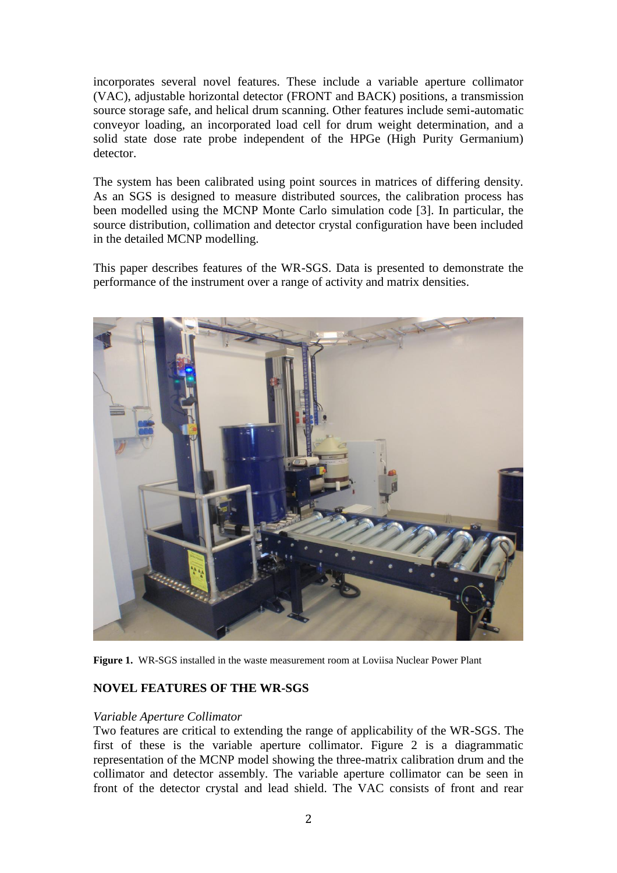incorporates several novel features. These include a variable aperture collimator (VAC), adjustable horizontal detector (FRONT and BACK) positions, a transmission source storage safe, and helical drum scanning. Other features include semi-automatic conveyor loading, an incorporated load cell for drum weight determination, and a solid state dose rate probe independent of the HPGe (High Purity Germanium) detector.

The system has been calibrated using point sources in matrices of differing density. As an SGS is designed to measure distributed sources, the calibration process has been modelled using the MCNP Monte Carlo simulation code [3]. In particular, the source distribution, collimation and detector crystal configuration have been included in the detailed MCNP modelling.

This paper describes features of the WR-SGS. Data is presented to demonstrate the performance of the instrument over a range of activity and matrix densities.



**Figure 1.** WR-SGS installed in the waste measurement room at Loviisa Nuclear Power Plant

# **NOVEL FEATURES OF THE WR-SGS**

#### *Variable Aperture Collimator*

Two features are critical to extending the range of applicability of the WR-SGS. The first of these is the variable aperture collimator. Figure 2 is a diagrammatic representation of the MCNP model showing the three-matrix calibration drum and the collimator and detector assembly. The variable aperture collimator can be seen in front of the detector crystal and lead shield. The VAC consists of front and rear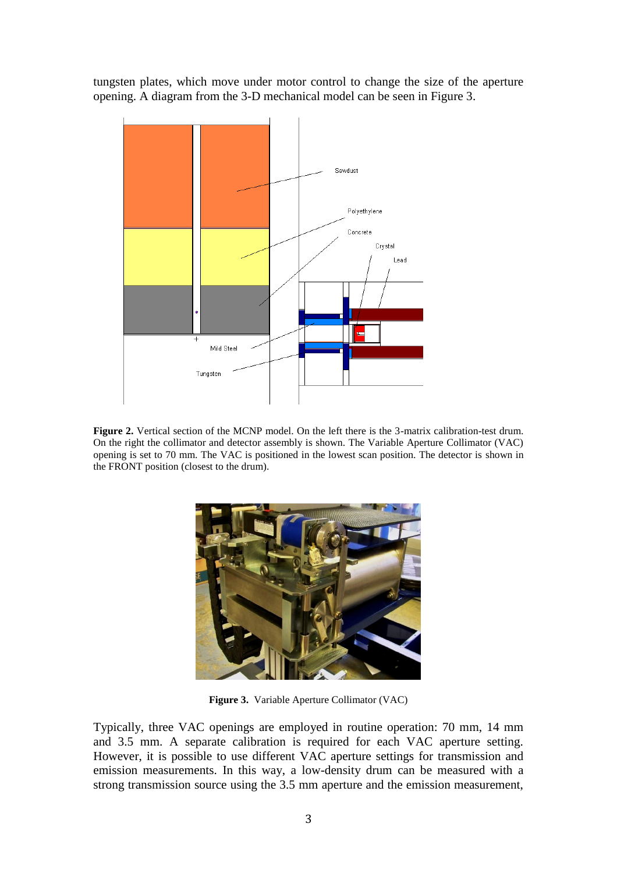tungsten plates, which move under motor control to change the size of the aperture opening. A diagram from the 3-D mechanical model can be seen in Figure 3.



**Figure 2.** Vertical section of the MCNP model. On the left there is the 3-matrix calibration-test drum. On the right the collimator and detector assembly is shown. The Variable Aperture Collimator (VAC) opening is set to 70 mm. The VAC is positioned in the lowest scan position. The detector is shown in the FRONT position (closest to the drum).



**Figure 3.** Variable Aperture Collimator (VAC)

Typically, three VAC openings are employed in routine operation: 70 mm, 14 mm and 3.5 mm. A separate calibration is required for each VAC aperture setting. However, it is possible to use different VAC aperture settings for transmission and emission measurements. In this way, a low-density drum can be measured with a strong transmission source using the 3.5 mm aperture and the emission measurement,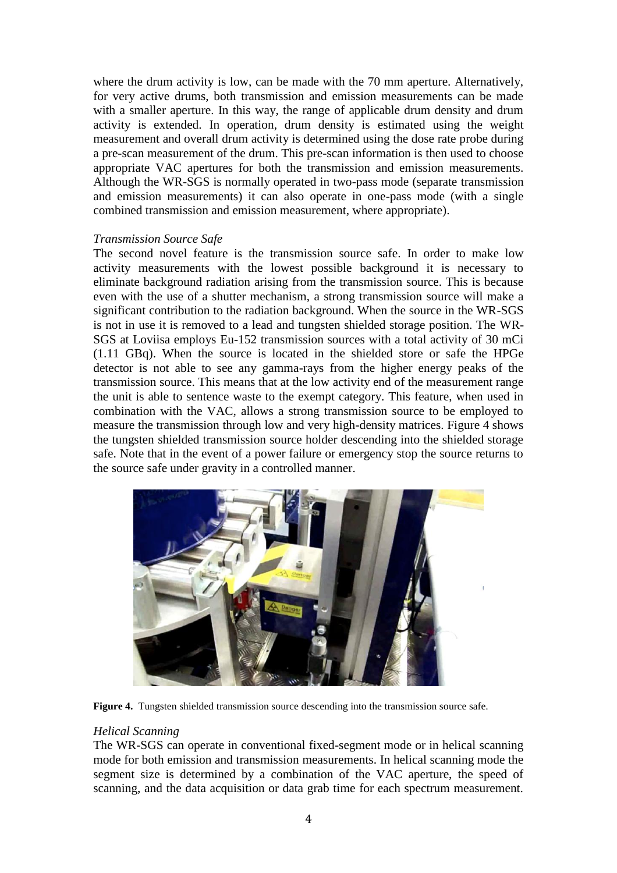where the drum activity is low, can be made with the 70 mm aperture. Alternatively, for very active drums, both transmission and emission measurements can be made with a smaller aperture. In this way, the range of applicable drum density and drum activity is extended. In operation, drum density is estimated using the weight measurement and overall drum activity is determined using the dose rate probe during a pre-scan measurement of the drum. This pre-scan information is then used to choose appropriate VAC apertures for both the transmission and emission measurements. Although the WR-SGS is normally operated in two-pass mode (separate transmission and emission measurements) it can also operate in one-pass mode (with a single combined transmission and emission measurement, where appropriate).

# *Transmission Source Safe*

The second novel feature is the transmission source safe. In order to make low activity measurements with the lowest possible background it is necessary to eliminate background radiation arising from the transmission source. This is because even with the use of a shutter mechanism, a strong transmission source will make a significant contribution to the radiation background. When the source in the WR-SGS is not in use it is removed to a lead and tungsten shielded storage position. The WR-SGS at Loviisa employs Eu-152 transmission sources with a total activity of 30 mCi (1.11 GBq). When the source is located in the shielded store or safe the HPGe detector is not able to see any gamma-rays from the higher energy peaks of the transmission source. This means that at the low activity end of the measurement range the unit is able to sentence waste to the exempt category. This feature, when used in combination with the VAC, allows a strong transmission source to be employed to measure the transmission through low and very high-density matrices. Figure 4 shows the tungsten shielded transmission source holder descending into the shielded storage safe. Note that in the event of a power failure or emergency stop the source returns to the source safe under gravity in a controlled manner.



**Figure 4.** Tungsten shielded transmission source descending into the transmission source safe.

# *Helical Scanning*

The WR-SGS can operate in conventional fixed-segment mode or in helical scanning mode for both emission and transmission measurements. In helical scanning mode the segment size is determined by a combination of the VAC aperture, the speed of scanning, and the data acquisition or data grab time for each spectrum measurement.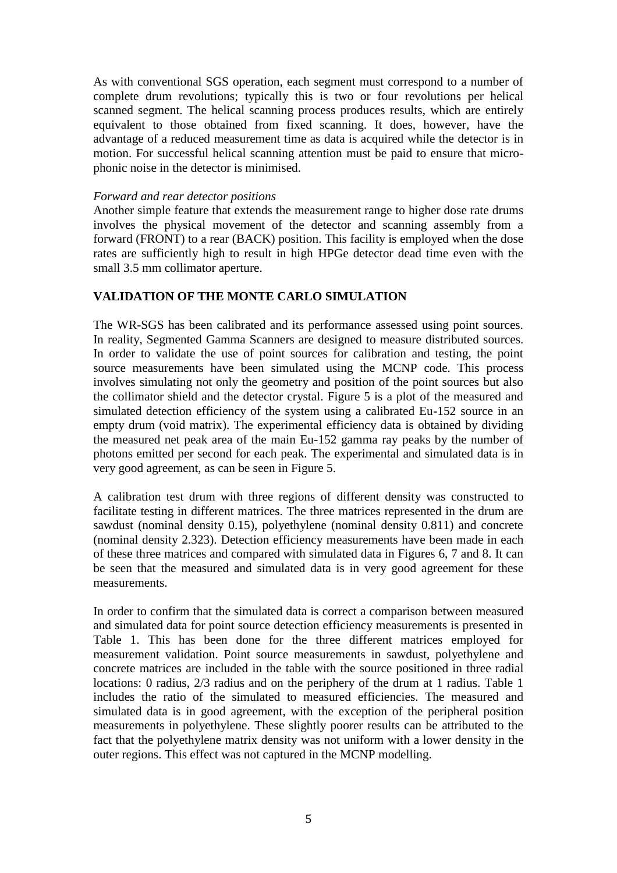As with conventional SGS operation, each segment must correspond to a number of complete drum revolutions; typically this is two or four revolutions per helical scanned segment. The helical scanning process produces results, which are entirely equivalent to those obtained from fixed scanning. It does, however, have the advantage of a reduced measurement time as data is acquired while the detector is in motion. For successful helical scanning attention must be paid to ensure that microphonic noise in the detector is minimised.

### *Forward and rear detector positions*

Another simple feature that extends the measurement range to higher dose rate drums involves the physical movement of the detector and scanning assembly from a forward (FRONT) to a rear (BACK) position. This facility is employed when the dose rates are sufficiently high to result in high HPGe detector dead time even with the small 3.5 mm collimator aperture.

# **VALIDATION OF THE MONTE CARLO SIMULATION**

The WR-SGS has been calibrated and its performance assessed using point sources. In reality, Segmented Gamma Scanners are designed to measure distributed sources. In order to validate the use of point sources for calibration and testing, the point source measurements have been simulated using the MCNP code. This process involves simulating not only the geometry and position of the point sources but also the collimator shield and the detector crystal. Figure 5 is a plot of the measured and simulated detection efficiency of the system using a calibrated Eu-152 source in an empty drum (void matrix). The experimental efficiency data is obtained by dividing the measured net peak area of the main Eu-152 gamma ray peaks by the number of photons emitted per second for each peak. The experimental and simulated data is in very good agreement, as can be seen in Figure 5.

A calibration test drum with three regions of different density was constructed to facilitate testing in different matrices. The three matrices represented in the drum are sawdust (nominal density 0.15), polyethylene (nominal density 0.811) and concrete (nominal density 2.323). Detection efficiency measurements have been made in each of these three matrices and compared with simulated data in Figures 6, 7 and 8. It can be seen that the measured and simulated data is in very good agreement for these measurements.

In order to confirm that the simulated data is correct a comparison between measured and simulated data for point source detection efficiency measurements is presented in Table 1. This has been done for the three different matrices employed for measurement validation. Point source measurements in sawdust, polyethylene and concrete matrices are included in the table with the source positioned in three radial locations: 0 radius, 2/3 radius and on the periphery of the drum at 1 radius. Table 1 includes the ratio of the simulated to measured efficiencies. The measured and simulated data is in good agreement, with the exception of the peripheral position measurements in polyethylene. These slightly poorer results can be attributed to the fact that the polyethylene matrix density was not uniform with a lower density in the outer regions. This effect was not captured in the MCNP modelling.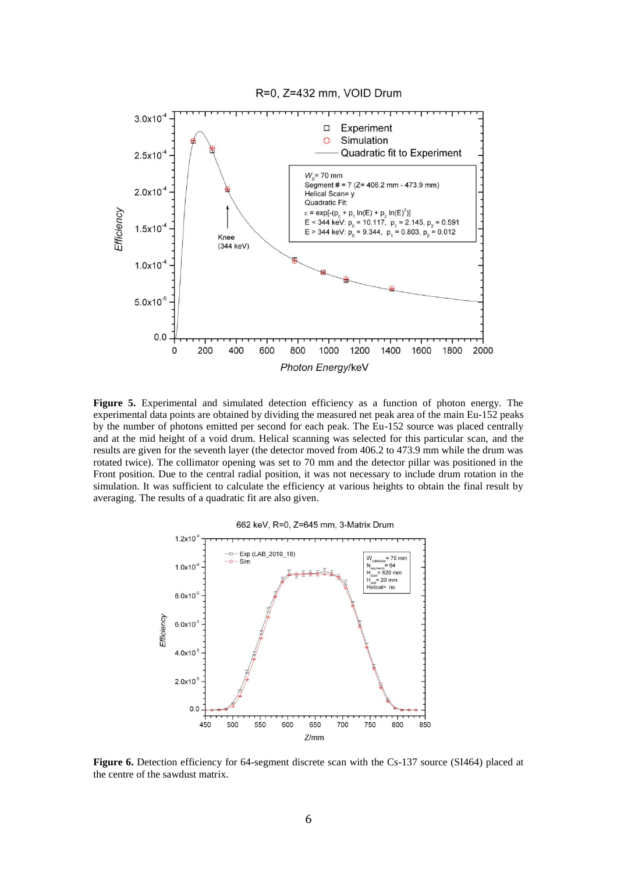



**Figure 5.** Experimental and simulated detection efficiency as a function of photon energy. The experimental data points are obtained by dividing the measured net peak area of the main Eu-152 peaks by the number of photons emitted per second for each peak. The Eu-152 source was placed centrally and at the mid height of a void drum. Helical scanning was selected for this particular scan, and the results are given for the seventh layer (the detector moved from 406.2 to 473.9 mm while the drum was rotated twice). The collimator opening was set to 70 mm and the detector pillar was positioned in the Front position. Due to the central radial position, it was not necessary to include drum rotation in the simulation. It was sufficient to calculate the efficiency at various heights to obtain the final result by averaging. The results of a quadratic fit are also given.



**Figure 6.** Detection efficiency for 64-segment discrete scan with the Cs-137 source (SI464) placed at the centre of the sawdust matrix.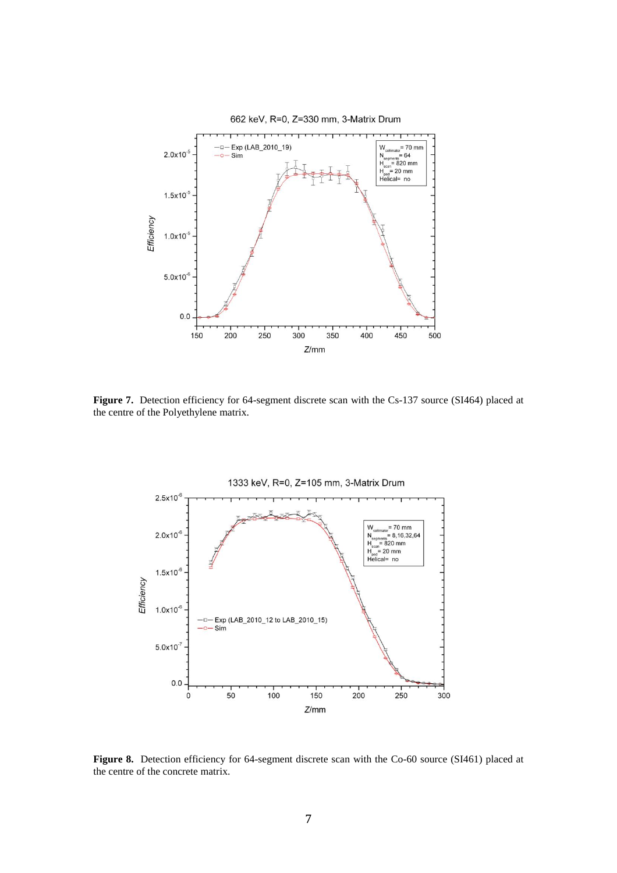

Figure 7. Detection efficiency for 64-segment discrete scan with the Cs-137 source (SI464) placed at the centre of the Polyethylene matrix.



**Figure 8.** Detection efficiency for 64-segment discrete scan with the Co-60 source (SI461) placed at the centre of the concrete matrix.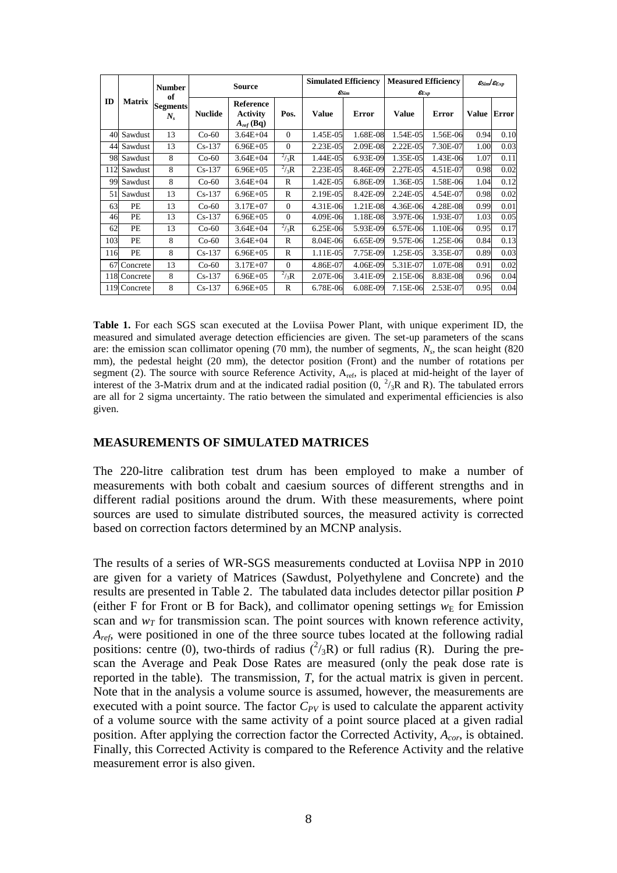| ID  | <b>Matrix</b> | <b>Number</b><br>of<br><b>Segments</b><br>$N_{s}$ | <b>Source</b>  |                                                       |              | <b>Simulated Efficiency</b> | $\varepsilon_{Sim}$ | <b>Measured Efficiency</b><br>$\boldsymbol{\mathcal{E}}_{Exp}$ | $\epsilon_{\text{Sim}}/\epsilon_{\text{Exp}}$ |       |              |
|-----|---------------|---------------------------------------------------|----------------|-------------------------------------------------------|--------------|-----------------------------|---------------------|----------------------------------------------------------------|-----------------------------------------------|-------|--------------|
|     |               |                                                   | <b>Nuclide</b> | <b>Reference</b><br><b>Activity</b><br>$A_{ref}$ (Bq) | Pos.         | Value                       | <b>Error</b>        | Value                                                          | <b>Error</b>                                  | Value | <b>Error</b> |
| 40  | Sawdust       | 13                                                | $Co-60$        | $3.64E + 04$                                          | $\theta$     | 1.45E-05                    | 1.68E-08            | 1.54E-05                                                       | 1.56E-06                                      | 0.94  | 0.10         |
| 44  | Sawdust       | 13                                                | $Cs-137$       | $6.96E + 05$                                          | $\Omega$     | 2.23E-05                    | 2.09E-08            | $2.22E - 0.5$                                                  | 7.30E-07                                      | 1.00  | 0.03         |
| 98  | Sawdust       | 8                                                 | $Co-60$        | $3.64E + 04$                                          | $^{2}/_{3}R$ | 1.44E-05                    | 6.93E-09            | 1.35E-05                                                       | 1.43E-06                                      | 1.07  | 0.11         |
| 112 | Sawdust       | 8                                                 | $Cs-137$       | $6.96E + 05$                                          | $^{2}/_{3}R$ | 2.23E-05                    | 8.46E-09            | 2.27E-05                                                       | 4.51E-07                                      | 0.98  | 0.02         |
| 99  | Sawdust       | 8                                                 | $Co-60$        | $3.64E + 04$                                          | $\mathbb{R}$ | 1.42E-05                    | 6.86E-09            | 1.36E-05                                                       | 1.58E-06                                      | 1.04  | 0.12         |
| 51  | Sawdust       | 13                                                | $Cs-137$       | $6.96E + 05$                                          | R            | 2.19E-05                    | 8.42E-09            | 2.24E-05                                                       | 4.54E-07                                      | 0.98  | 0.02         |
| 63  | PE            | 13                                                | $Co-60$        | $3.17E + 07$                                          | $\Omega$     | 4.31E-06                    | 1.21E-08            | 4.36E-06                                                       | 4.28E-08                                      | 0.99  | 0.01         |
| 46  | PE            | 13                                                | $Cs-137$       | $6.96E + 0.5$                                         | $\Omega$     | 4.09E-06                    | 1.18E-08            | 3.97E-06                                                       | 1.93E-07                                      | 1.03  | 0.05         |
| 62  | PE            | 13                                                | $Co-60$        | $3.64E + 04$                                          | $^{2}/_{3}R$ | 6.25E-06                    | 5.93E-09            | 6.57E-06                                                       | 1.10E-06                                      | 0.95  | 0.17         |
| 103 | PE            | 8                                                 | $Co-60$        | $3.64E + 04$                                          | $\mathbb{R}$ | 8.04E-06                    | 6.65E-09            | 9.57E-06                                                       | 1.25E-06                                      | 0.84  | 0.13         |
| 116 | PE            | 8                                                 | $Cs-137$       | $6.96E + 05$                                          | $\mathbb{R}$ | 1.11E-05                    | 7.75E-09            | 1.25E-05                                                       | 3.35E-07                                      | 0.89  | 0.03         |
| 67  | Concrete      | 13                                                | $Co-60$        | $3.17E + 07$                                          | $\theta$     | 4.86E-07                    | 4.06E-09            | 5.31E-07                                                       | 1.07E-08                                      | 0.91  | 0.02         |
| 118 | Concrete      | 8                                                 | $Cs-137$       | $6.96E + 0.5$                                         | $^{2}/_{3}R$ | 2.07E-06                    | 3.41E-09            | 2.15E-06                                                       | 8.83E-08                                      | 0.96  | 0.04         |
| 119 | Concrete      | 8                                                 | $Cs-137$       | $6.96E + 05$                                          | $\mathbb{R}$ | 6.78E-06                    | 6.08E-09            | 7.15E-06                                                       | 2.53E-07                                      | 0.95  | 0.04         |

**Table 1.** For each SGS scan executed at the Loviisa Power Plant, with unique experiment ID, the measured and simulated average detection efficiencies are given. The set-up parameters of the scans are: the emission scan collimator opening (70 mm), the number of segments,  $N_s$ , the scan height (820 mm), the pedestal height (20 mm), the detector position (Front) and the number of rotations per segment (2). The source with source Reference Activity, A<sub>ref</sub>, is placed at mid-height of the layer of interest of the 3-Matrix drum and at the indicated radial position  $(0, \frac{2}{3}R)$  and R). The tabulated errors are all for 2 sigma uncertainty. The ratio between the simulated and experimental efficiencies is also given.

#### **MEASUREMENTS OF SIMULATED MATRICES**

The 220-litre calibration test drum has been employed to make a number of measurements with both cobalt and caesium sources of different strengths and in different radial positions around the drum. With these measurements, where point sources are used to simulate distributed sources, the measured activity is corrected based on correction factors determined by an MCNP analysis.

The results of a series of WR-SGS measurements conducted at Loviisa NPP in 2010 are given for a variety of Matrices (Sawdust, Polyethylene and Concrete) and the results are presented in Table 2. The tabulated data includes detector pillar position *P* (either F for Front or B for Back), and collimator opening settings  $w_E$  for Emission scan and  $w_T$  for transmission scan. The point sources with known reference activity, *Aref*, were positioned in one of the three source tubes located at the following radial positions: centre (0), two-thirds of radius  $(^2/3R)$  or full radius (R). During the prescan the Average and Peak Dose Rates are measured (only the peak dose rate is reported in the table). The transmission, *T*, for the actual matrix is given in percent. Note that in the analysis a volume source is assumed, however, the measurements are executed with a point source. The factor *CPV* is used to calculate the apparent activity of a volume source with the same activity of a point source placed at a given radial position. After applying the correction factor the Corrected Activity, *Acor*, is obtained. Finally, this Corrected Activity is compared to the Reference Activity and the relative measurement error is also given.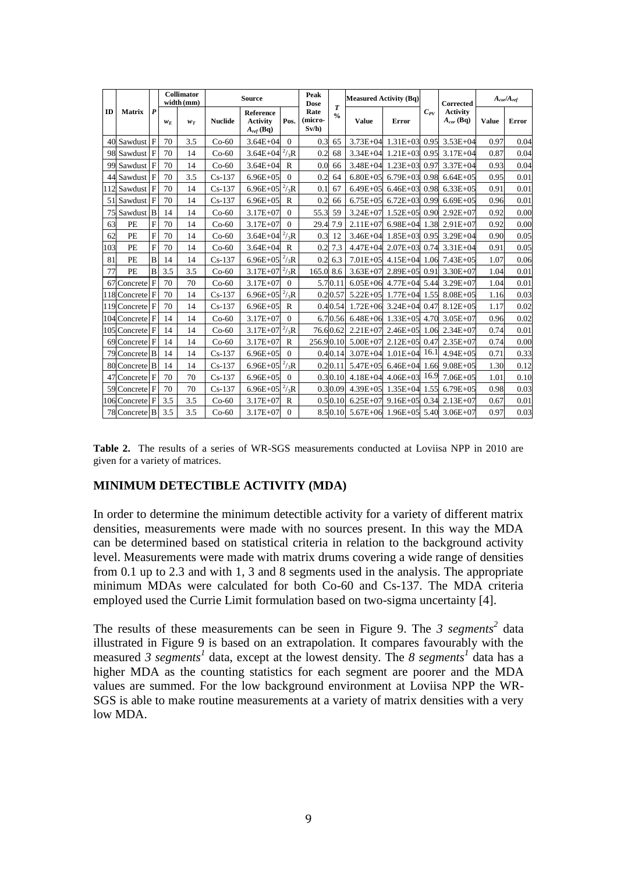| ID  | <b>Matrix</b>  | $\mathbf{P}$   | <b>Collimator</b><br>width(mm) |       | <b>Source</b>  |                                                |                | Peak<br>Dose            | $\boldsymbol{r}$ | <b>Measured Activity (Bq)</b> |                          |          | <b>Corrected</b>                  | $A_{\text{cor}}/A_{\text{ref}}$ |       |
|-----|----------------|----------------|--------------------------------|-------|----------------|------------------------------------------------|----------------|-------------------------|------------------|-------------------------------|--------------------------|----------|-----------------------------------|---------------------------------|-------|
|     |                |                | $W_E$                          | $w_T$ | <b>Nuclide</b> | Reference<br><b>Activity</b><br>$A_{ref}$ (Bq) | Pos.           | Rate<br>(micro-<br>Sv/h | $\frac{0}{0}$    | <b>Value</b>                  | Error                    | $C_{PV}$ | <b>Activity</b><br>$A_{cor}$ (Bq) | <b>Value</b>                    | Error |
|     | 40 Sawdust F   |                | 70                             | 3.5   | $Co-60$        | $3.64E + 04$                                   | $\Omega$       | 0.3                     | 65               | $3.73E + 04$                  | $1.31E + 03$             |          | $0.95$ 3.53E+04                   | 0.97                            | 0.04  |
|     | 98 Sawdust F   |                | 70                             | 14    | $Co-60$        | 3.64E+04 $^{2}/_{3}R$                          |                | 0.2                     | 68               |                               | $3.34E+04$ 1.21E+03      |          | $0.95$ 3.17E+04                   | 0.87                            | 0.04  |
| 99  | Sawdust F      |                | 70                             | 14    | $Co-60$        | $3.64E + 04$                                   | $\mathbb{R}$   | 0.0                     | 66               | $3.48E + 04$                  | $1.23E + 03$             | 0.97     | $3.37E + 04$                      | 0.93                            | 0.04  |
| 44  | Sawdust F      |                | 70                             | 3.5   | $Cs-137$       | $6.96E + 05$                                   | $\Omega$       | 0.2                     | 64               | $6.80E + 0.5$                 | $6.79E + 03$             | 0.98     | $6.64E + 05$                      | 0.95                            | 0.01  |
| 112 | Sawdust F      |                | 70                             | 14    | $Cs-137$       | $6.96E + 0.5$                                  | $^{2}/_{3}R$   | 0.1                     | 67               | $6.49E + 05$                  | $6.46E + 03$             | 0.98     | $6.33E + 0.5$                     | 0.91                            | 0.01  |
| 51  | Sawdust F      |                | 70                             | 14    | $Cs-137$       | $6.96E + 05$                                   | $\mathbb{R}$   | 0.2                     | 66               | $6.75E + 0.5$                 | $6.72E + 03$             | 0.99     | $6.69E + 05$                      | 0.96                            | 0.01  |
| 75  | Sawdust B      |                | 14                             | 14    | $Co-60$        | $3.17E + 07$                                   | $\Omega$       | 55.3                    | 59               | $3.24E + 07$                  | $1.52E + 0.5$            | 0.90     | $2.92E+07$                        | 0.92                            | 0.00  |
| 63  | PE             | F              | 70                             | 14    | $Co-60$        | $3.17E + 07$                                   | $\Omega$       | 29.4                    | 7.9              | $2.11E + 07$                  | $6.98E + 04$             |          | $1.38$ 2.91E+07                   | 0.92                            | 0.00  |
| 62  | PE             | $\overline{F}$ | 70                             | 14    | $Co-60$        | 3.64E+04 $^{2}/_{3}R$                          |                | 0.3                     | 12               | $3.46E + 04$                  | $1.85E + 03$             | 0.95     | $3.29E + 04$                      | 0.90                            | 0.05  |
| 103 | PE             | $\overline{F}$ | 70                             | 14    | $Co-60$        | $3.64E + 04$                                   | R              | 0.2                     | 7.3              | $4.47E + 04$                  | 2.07E+03 0.74            |          | $3.31E + 04$                      | 0.91                            | 0.05  |
| 81  | PE             | $\overline{B}$ | 14                             | 14    | $Cs-137$       | $6.96E + 0.5$                                  | $^{2}/_{3}R$   | 0.2                     | 6.3              | $7.01E + 05$                  | $4.15E + 04$             | 1.06     | $7.43E + 05$                      | 1.07                            | 0.06  |
| 77  | PE             | B              | 3.5                            | 3.5   | $Co-60$        | $3.17E + 07$                                   | $^{2}/_{3}R$   | 165.0                   | 8.6              | $3.63E + 07$                  | $2.89E + 05$             | 0.91     | $3.30E + 07$                      | 1.04                            | 0.01  |
| 67  | Concrete F     |                | 70                             | 70    | $Co-60$        | $3.17E + 07$                                   | $\Omega$       |                         | 5.70.11          | $6.05E + 06$                  | 4.77E+04 5.44            |          | $3.29E + 07$                      | 1.04                            | 0.01  |
|     | 118 Concrete F |                | 70                             | 14    | $Cs-137$       | $6.96E + 0.5$                                  | $^{2}/_{3}R$   |                         | 0.20.57          | $5.22E + 0.5$                 | $1.77E + 04$             | 1.55     | $8.08E + 0.5$                     | 1.16                            | 0.03  |
|     | 119 Concrete F |                | 70                             | 14    | $Cs-137$       | $6.96E + 0.5$                                  | $\mathbf{R}$   |                         | 0.40.54          | $1.72E + 06$                  | $3.24E + 04$             | 0.47     | $8.12E + 05$                      | 1.17                            | 0.02  |
|     | 104 Concrete F |                | 14                             | 14    | $Co-60$        | $3.17E + 07$                                   | $\Omega$       |                         | 6.70.56          | $6.48E + 06$                  | $1.33E + 05$ 4.70        |          | $3.05E + 07$                      | 0.96                            | 0.02  |
|     | 105 Concrete F |                | 14                             | 14    | $Co-60$        | $3.17E + 07$                                   | $^{2}/_{3}R$   | 76.60.62                |                  | $2.21E + 07$                  | $2.46E + 05$             | 1.06     | $2.34E+07$                        | 0.74                            | 0.01  |
|     | 69 Concrete F  |                | 14                             | 14    | $Co-60$        | $3.17E + 07$                                   | $\mathbb{R}$   | 256.90.10               |                  | 5.00E+07                      | $2.12E + 0.5$            | 0.47     | $2.35E+07$                        | 0.74                            | 0.00  |
| 79  | Concrete B     |                | 14                             | 14    | $Cs-137$       | $6.96E + 0.5$                                  | $\Omega$       |                         | 0.40.14          | $3.07E + 04$                  | $1.01E + 04$             | 16.1     | $4.94E + 05$                      | 0.71                            | 0.33  |
|     | 80 Concrete B  |                | 14                             | 14    | $Cs-137$       | 6.96E+05 $^{2}/_3R$                            |                |                         | 0.2 0.11         | 5.47E+05                      | $6.46E + 04$             |          | $1.66$ 9.08E+05                   | 1.30                            | 0.12  |
|     | 47 Concrete F  |                | 70                             | 70    | $Cs-137$       | $6.96E + 0.5$                                  | $\overline{0}$ |                         | 0.3 0.10         | $4.18E + 04$                  | $4.06E + 03$             | 16.9     | $7.06E + 05$                      | 1.01                            | 0.10  |
| 59  | Concrete F     |                | 70                             | 70    | $Cs-137$       | $6.96E + 05$                                   | $^{2}/_{3}R$   |                         | 0.30.09          | $4.39E + 05$                  | $1.35E + 04$             | 1.55     | $6.79E + 0.5$                     | 0.98                            | 0.03  |
|     | 106 Concrete F |                | 3.5                            | 3.5   | $Co-60$        | $3.17E + 07$                                   | $\mathbb{R}$   |                         | 0.5 0.10         | $6.25E + 07$                  | $9.16E + 0.5$            |          | $0.34$ 2.13E+07                   | 0.67                            | 0.01  |
|     | 78 Concrete B  |                | 3.5                            | 3.5   | $Co-60$        | $3.17E + 07$                                   | $\theta$       |                         | 8.50.10          |                               | $5.67E+06$ 1.96E+05 5.40 |          | $3.06E + 07$                      | 0.97                            | 0.03  |

**Table 2.** The results of a series of WR-SGS measurements conducted at Loviisa NPP in 2010 are given for a variety of matrices.

# **MINIMUM DETECTIBLE ACTIVITY (MDA)**

In order to determine the minimum detectible activity for a variety of different matrix densities, measurements were made with no sources present. In this way the MDA can be determined based on statistical criteria in relation to the background activity level. Measurements were made with matrix drums covering a wide range of densities from 0.1 up to 2.3 and with 1, 3 and 8 segments used in the analysis. The appropriate minimum MDAs were calculated for both Co-60 and Cs-137. The MDA criteria employed used the Currie Limit formulation based on two-sigma uncertainty [4].

The results of these measurements can be seen in Figure 9. The *3 segments<sup>2</sup>* data illustrated in Figure 9 is based on an extrapolation. It compares favourably with the measured *3 segments<sup>1</sup>* data, except at the lowest density. The *8 segments<sup>1</sup>* data has a higher MDA as the counting statistics for each segment are poorer and the MDA values are summed. For the low background environment at Loviisa NPP the WR-SGS is able to make routine measurements at a variety of matrix densities with a very low MDA.